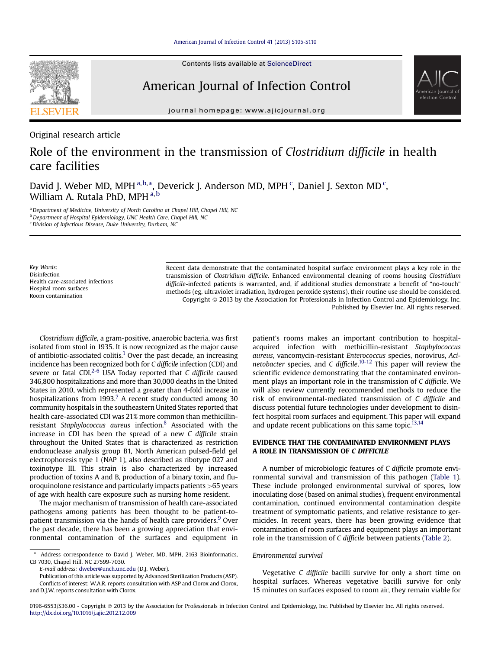

Contents lists available at ScienceDirect

## American Journal of Infection Control



journal homepage: [www.ajicjournal.org](http://www.ajicjournal.org)

Original research article

# Role of the environment in the transmission of Clostridium difficile in health care facilities

David J. Weber MD, MPH<sup>a,b,\*</sup>, Deverick J. Anderson MD, MPH<sup>c</sup>, Daniel J. Sexton MD<sup>c</sup>, William A. Rutala PhD, MPH a,b

a Department of Medicine, University of North Carolina at Chapel Hill, Chapel Hill, NC b Department of Hospital Epidemiology, UNC Health Care, Chapel Hill, NC

Key Words: Disinfection Health care-associated infections Hospital room surfaces Room contamination

Recent data demonstrate that the contaminated hospital surface environment plays a key role in the transmission of Clostridium difficile. Enhanced environmental cleaning of rooms housing Clostridium difficile-infected patients is warranted, and, if additional studies demonstrate a benefit of "no-touch" methods (eg, ultraviolet irradiation, hydrogen peroxide systems), their routine use should be considered. Copyright 2013 by the Association for Professionals in Infection Control and Epidemiology, Inc. Published by Elsevier Inc. All rights reserved.

Clostridium difficile, a gram-positive, anaerobic bacteria, was first isolated from stool in 1935. It is now recognized as the major cause of antibiotic-associated colitis.<sup>1</sup> Over the past decade, an increasing incidence has been recognized both for C difficile infection (CDI) and severe or fatal CDI. $2-6$  USA Today reported that C difficile caused 346,800 hospitalizations and more than 30,000 deaths in the United States in 2010, which represented a greater than 4-fold increase in hospitalizations from  $1993<sup>7</sup>$  A recent study conducted among 30 community hospitals in the southeastern United States reported that health care-associated CDI was 21% more common than methicillinresistant Staphylococcus aureus infection[.8](#page-3-0) Associated with the increase in CDI has been the spread of a new C difficile strain throughout the United States that is characterized as restriction endonuclease analysis group B1, North American pulsed-field gel electrophoresis type 1 (NAP 1), also described as ribotype 027 and toxinotype III. This strain is also characterized by increased production of toxins A and B, production of a binary toxin, and fluoroquinolone resistance and particularly impacts patients >65 years of age with health care exposure such as nursing home resident.

The major mechanism of transmission of health care-associated pathogens among patients has been thought to be patient-to-patient transmission via the hands of health care providers.<sup>[9](#page-4-0)</sup> Over the past decade, there has been a growing appreciation that environmental contamination of the surfaces and equipment in

E-mail address: [dweber@unch.unc.edu](mailto:dweber@unch.unc.edu) (D.J. Weber).

patient's rooms makes an important contribution to hospitalacquired infection with methicillin-resistant Staphylococcus aureus, vancomycin-resistant Enterococcus species, norovirus, Aci-netobacter species, and C difficile.<sup>[10-12](#page-4-0)</sup> This paper will review the scientific evidence demonstrating that the contaminated environment plays an important role in the transmission of C difficile. We will also review currently recommended methods to reduce the risk of environmental-mediated transmission of C difficile and discuss potential future technologies under development to disinfect hospital room surfaces and equipment. This paper will expand and update recent publications on this same topic. $13,14$ 

## EVIDENCE THAT THE CONTAMINATED ENVIRONMENT PLAYS A ROLE IN TRANSMISSION OF C DIFFICILE

A number of microbiologic features of C difficile promote environmental survival and transmission of this pathogen ([Table 1](#page-1-0)). These include prolonged environmental survival of spores, low inoculating dose (based on animal studies), frequent environmental contamination, continued environmental contamination despite treatment of symptomatic patients, and relative resistance to germicides. In recent years, there has been growing evidence that contamination of room surfaces and equipment plays an important role in the transmission of C difficile between patients [\(Table 2](#page-1-0)).

## Environmental survival

Vegetative C difficile bacilli survive for only a short time on hospital surfaces. Whereas vegetative bacilli survive for only 15 minutes on surfaces exposed to room air, they remain viable for

<sup>&</sup>lt;sup>c</sup> Division of Infectious Disease, Duke University, Durham, NC

Address correspondence to David J. Weber, MD, MPH, 2163 Bioinformatics, CB 7030, Chapel Hill, NC 27599-7030.

Publication of this article was supported by Advanced Sterilization Products (ASP). Conflicts of interest: W.A.R. reports consultation with ASP and Clorox and Clorox, and D.J.W. reports consultation with Clorox.

<sup>0196-6553/\$36.00 -</sup> Copyright © 2013 by the Association for Professionals in Infection Control and Epidemiology, Inc. Published by Elsevier Inc. All rights reserved. <http://dx.doi.org/10.1016/j.ajic.2012.12.009>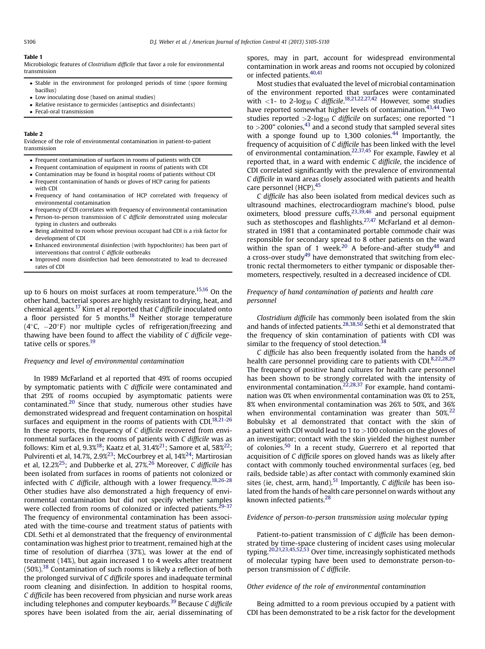#### <span id="page-1-0"></span>Table 1

Microbiologic features of Clostridium difficile that favor a role for environmental transmission

- Stable in the environment for prolonged periods of time (spore forming bacillus)
- Low inoculating dose (based on animal studies)
- Relative resistance to germicides (antiseptics and disinfectants)
- Fecal-oral transmission

#### Table 2

Evidence of the role of environmental contamination in patient-to-patient transmission

- Frequent contamination of surfaces in rooms of patients with CDI
- Frequent contamination of equipment in rooms of patients with CDI
- Contamination may be found in hospital rooms of patients without CDI
- Frequent contamination of hands or gloves of HCP caring for patients
- with CDI
- Frequency of hand contamination of HCP correlated with frequency of environmental contamination
- Frequency of CDI correlates with frequency of environmental contamination Person-to-person transmission of C difficile demonstrated using molecular
- typing in clusters and outbreaks Being admitted to room whose previous occupant had CDI is a risk factor for
- development of CDI Enhanced environmental disinfection (with hypochlorites) has been part of
- interventions that control C difficile outbreaks
- Improved room disinfection had been demonstrated to lead to decreased rates of CDI

up to 6 hours on moist surfaces at room temperature.<sup>15,16</sup> On the other hand, bacterial spores are highly resistant to drying, heat, and chemical agents.<sup>17</sup> Kim et al reported that C difficile inoculated onto a floor persisted for 5 months.<sup>18</sup> Neither storage temperature  $(4^{\circ}C, -20^{\circ}F)$  nor multiple cycles of refrigeration/freezing and thawing have been found to affect the viability of C difficile vege-tative cells or spores.<sup>[19](#page-4-0)</sup>

## Frequency and level of environmental contamination

In 1989 McFarland et al reported that 49% of rooms occupied by symptomatic patients with C difficile were contaminated and that 29% of rooms occupied by asymptomatic patients were contaminated. $20$  Since that study, numerous other studies have demonstrated widespread and frequent contamination on hospital surfaces and equipment in the rooms of patients with CDI. $18,21-26$ In these reports, the frequency of C difficile recovered from environmental surfaces in the rooms of patients with C difficile was as follows: Kim et al, 9.3%<sup>18</sup>; Kaatz et al, 31.4%<sup>21</sup>; Samore et al, 58%<sup>22</sup>; Pulvirenti et al, 14.7%, 2.9%<sup>23</sup>; McCourbrey et al, 14%<sup>24</sup>; Martirosian et al, 12.2 $\% ^{25}$ ; and Dubberke et al, 27 $\% ^{26}$  Moreover, C difficile has been isolated from surfaces in rooms of patients not colonized or infected with C difficile, although with a lower frequency.<sup>[18,26-28](#page-4-0)</sup> Other studies have also demonstrated a high frequency of environmental contamination but did not specify whether samples were collected from rooms of colonized or infected patients.<sup>[29-37](#page-4-0)</sup> The frequency of environmental contamination has been associated with the time-course and treatment status of patients with CDI. Sethi et al demonstrated that the frequency of environmental contamination was highest prior to treatment, remained high at the time of resolution of diarrhea (37%), was lower at the end of treatment (14%), but again increased 1 to 4 weeks after treatment  $(50\%)$ <sup>[38](#page-4-0)</sup> Contamination of such rooms is likely a reflection of both the prolonged survival of C difficile spores and inadequate terminal room cleaning and disinfection. In addition to hospital rooms, C difficile has been recovered from physician and nurse work areas including telephones and computer keyboards.<sup>[39](#page-4-0)</sup> Because C difficile spores have been isolated from the air, aerial disseminating of

spores, may in part, account for widespread environmental contamination in work areas and rooms not occupied by colonized or infected patients.<sup>[40,41](#page-4-0)</sup>

Most studies that evaluated the level of microbial contamination of the environment reported that surfaces were contaminated with  $\langle 1$ - to 2- $\log_{10}$  C difficile.<sup>[18,21,22,27,42](#page-4-0)</sup> However, some studies have reported somewhat higher levels of contamination.<sup>43,44</sup> Two studies reported  $>2$ -log<sub>10</sub> C difficile on surfaces; one reported "1 to  $>$ 200" colonies,  $43$  and a second study that sampled several sites with a sponge found up to 1,300 colonies. $44$  Importantly, the frequency of acquisition of C difficile has been linked with the level of environmental contamination.<sup>22,37,45</sup> For example, Fawley et al reported that, in a ward with endemic  $C$  difficile, the incidence of CDI correlated significantly with the prevalence of environmental C difficile in ward areas closely associated with patients and health care personnel (HCP).<sup>[45](#page-4-0)</sup>

C difficile has also been isolated from medical devices such as ultrasound machines, electrocardiogram machine's blood, pulse oximeters, blood pressure cuffs,<sup>[23,39,46](#page-4-0)</sup> and personal equipment such as stethoscopes and flashlights.<sup>[27,47](#page-4-0)</sup> McFarland et al demonstrated in 1981 that a contaminated portable commode chair was responsible for secondary spread to 8 other patients on the ward within the span of 1 week.<sup>[20](#page-4-0)</sup> A before-and-after study<sup>[48](#page-4-0)</sup> and a cross-over study<sup>49</sup> have demonstrated that switching from electronic rectal thermometers to either tympanic or disposable thermometers, respectively, resulted in a decreased incidence of CDI.

## Frequency of hand contamination of patients and health care personnel

Clostridium difficile has commonly been isolated from the skin and hands of infected patients.<sup>[28,38,50](#page-4-0)</sup> Sethi et al demonstrated that the frequency of skin contamination of patients with CDI was similar to the frequency of stool detection.<sup>3</sup>

C difficile has also been frequently isolated from the hands of health care personnel providing care to patients with CDI.<sup>[8,22,28,29](#page-3-0)</sup> The frequency of positive hand cultures for health care personnel has been shown to be strongly correlated with the intensity of environmental contamination.<sup>[22,28,37](#page-4-0)</sup> For example, hand contamination was 0% when environmental contamination was 0% to 25%, 8% when environmental contamination was 26% to 50%, and 36% when environmental contamination was greater than  $50\%^{22}$  $50\%^{22}$  $50\%^{22}$ Bobulsky et al demonstrated that contact with the skin of a patient with CDI would lead to 1 to  $>100$  colonies on the gloves of an investigator; contact with the skin yielded the highest number of colonies.<sup>[50](#page-4-0)</sup> In a recent study, Guerrero et al reported that acquisition of C difficile spores on gloved hands was as likely after contact with commonly touched environmental surfaces (eg, bed rails, bedside table) as after contact with commonly examined skin sites (ie, chest, arm, hand).<sup>51</sup> Importantly, C difficile has been isolated from the hands of health care personnel on wards without any known infected patients.<sup>28</sup>

#### Evidence of person-to-person transmission using molecular typing

Patient-to-patient transmission of C difficile has been demonstrated by time-space clustering of incident cases using molecular typing.<sup>20,21,23,45,52,53</sup> Over time, increasingly sophisticated methods of molecular typing have been used to demonstrate person-toperson transmission of C difficile.

#### Other evidence of the role of environmental contamination

Being admitted to a room previous occupied by a patient with CDI has been demonstrated to be a risk factor for the development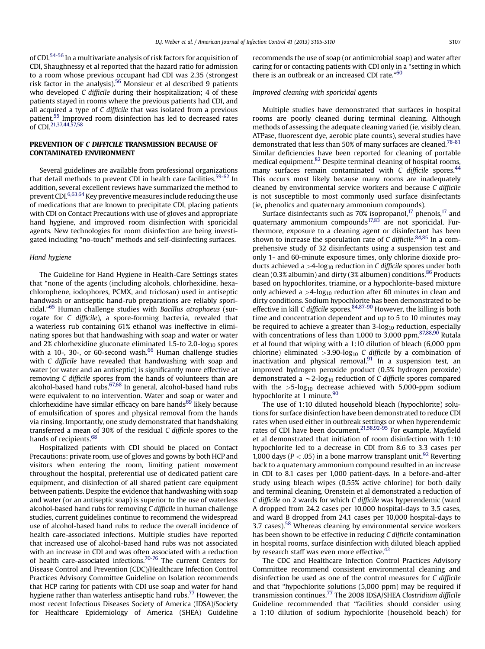of CDI.[54-56](#page-4-0) In a multivariate analysis of risk factors for acquisition of CDI, Shaughnessy et al reported that the hazard ratio for admission to a room whose previous occupant had CDI was 2.35 (strongest risk factor in the analysis).[56](#page-4-0) Monsieur et al described 9 patients who developed C difficile during their hospitalization; 4 of these patients stayed in rooms where the previous patients had CDI, and all acquired a type of C difficile that was isolated from a previous patient.<sup>[55](#page-4-0)</sup> Improved room disinfection has led to decreased rates of CDI.[21,37,44,57,58](#page-4-0)

## PREVENTION OF C DIFFICILE TRANSMISSION BECAUSE OF CONTAMINATED ENVIRONMENT

Several guidelines are available from professional organizations that detail methods to prevent CDI in health care facilities.<sup>59-62</sup> In addition, several excellent reviews have summarized the method to prevent CDI[.6,63,64](#page-3-0) Key preventive measures include reducing the use of medications that are known to precipitate CDI, placing patients with CDI on Contact Precautions with use of gloves and appropriate hand hygiene, and improved room disinfection with sporicidal agents. New technologies for room disinfection are being investigated including "no-touch" methods and self-disinfecting surfaces.

## Hand hygiene

The Guideline for Hand Hygiene in Health-Care Settings states that "none of the agents (including alcohols, chlorhexidine, hexachlorophene, iodophores, PCMX, and triclosan) used in antiseptic handwash or antiseptic hand-rub preparations are reliably spori-cidal."<sup>[65](#page-5-0)</sup> Human challenge studies with *Bacillus atrophaeus* (surrogate for C difficile), a spore-forming bacteria, revealed that a waterless rub containing 61% ethanol was ineffective in eliminating spores but that handwashing with soap and water or water and 2% chlorhexidine gluconate eliminated 1.5-to 2.0- $log_{10}$  spores with a 10-, 30-, or 60-second wash. $66$  Human challenge studies with C difficile have revealed that handwashing with soap and water (or water and an antiseptic) is significantly more effective at removing C difficile spores from the hands of volunteers than are alcohol-based hand rubs.<sup>[67,68](#page-5-0)</sup> In general, alcohol-based hand rubs were equivalent to no intervention. Water and soap or water and chlorhexidine have similar efficacy on bare hands $69$  likely because of emulsification of spores and physical removal from the hands via rinsing. Importantly, one study demonstrated that handshaking transferred a mean of 30% of the residual C difficile spores to the hands of recipients.<sup>[68](#page-5-0)</sup>

Hospitalized patients with CDI should be placed on Contact Precautions: private room, use of gloves and gowns by both HCP and visitors when entering the room, limiting patient movement throughout the hospital, preferential use of dedicated patient care equipment, and disinfection of all shared patient care equipment between patients. Despite the evidence that handwashing with soap and water (or an antiseptic soap) is superior to the use of waterless alcohol-based hand rubs for removing C difficile in human challenge studies, current guidelines continue to recommend the widespread use of alcohol-based hand rubs to reduce the overall incidence of health care-associated infections. Multiple studies have reported that increased use of alcohol-based hand rubs was not associated with an increase in CDI and was often associated with a reduction of health care-associated infections.<sup>[70-76](#page-5-0)</sup> The current Centers for Disease Control and Prevention (CDC)/Healthcare Infection Control Practices Advisory Committee Guideline on Isolation recommends that HCP caring for patients with CDI use soap and water for hand hygiene rather than waterless antiseptic hand rubs.<sup>[77](#page-5-0)</sup> However, the most recent Infectious Diseases Society of America (IDSA)/Society for Healthcare Epidemiology of America (SHEA) Guideline recommends the use of soap (or antimicrobial soap) and water after caring for or contacting patients with CDI only in a "setting in which there is an outbreak or an increased CDI rate." [60](#page-4-0)

## Improved cleaning with sporicidal agents

Multiple studies have demonstrated that surfaces in hospital rooms are poorly cleaned during terminal cleaning. Although methods of assessing the adequate cleaning varied (ie, visibly clean, ATPase, fluorescent dye, aerobic plate counts), several studies have demonstrated that less than 50% of many surfaces are cleaned.<sup>78-81</sup> Similar deficiencies have been reported for cleaning of portable medical equipment.[82](#page-5-0) Despite terminal cleaning of hospital rooms, many surfaces remain contaminated with  $C$  difficile spores.<sup>[44](#page-4-0)</sup> This occurs most likely because many rooms are inadequately cleaned by environmental service workers and because C difficile is not susceptible to most commonly used surface disinfectants (ie, phenolics and quaternary ammonium compounds).

Surface disinfectants such as 70% isopropanol, $^{17}$  $^{17}$  $^{17}$  phenols, $^{17}$  and quaternary ammonium compounds $17,83$  are not sporicidal. Furthermore, exposure to a cleaning agent or disinfectant has been shown to increase the sporulation rate of C difficile.<sup>[84,85](#page-5-0)</sup> In a comprehensive study of 32 disinfectants using a suspension test and only 1- and 60-minute exposure times, only chlorine dioxide products achieved a  $>4$ -log<sub>10</sub> reduction in C difficile spores under both clean (0.3% albumin) and dirty (3% albumen) conditions.<sup>86</sup> Products based on hypochlorites, triamine, or a hypochlorite-based mixture only achieved a  $>4$ -log<sub>10</sub> reduction after 60 minutes in clean and dirty conditions. Sodium hypochlorite has been demonstrated to be effective in kill C difficile spores.  $84,87-90$  However, the killing is both time and concentration dependent and up to 5 to 10 minutes may be required to achieve a greater than  $3$ -log<sub>10</sub> reduction, especially with concentrations of less than 1,000 to 3,000 ppm.<sup>[87,88,90](#page-5-0)</sup> Rutala et al found that wiping with a 1:10 dilution of bleach (6,000 ppm chlorine) eliminated  $>3.90$ -log<sub>10</sub> C difficile by a combination of inactivation and physical removal. $91$  In a suspension test, an improved hydrogen peroxide product (0.5% hydrogen peroxide) demonstrated a  $\sim$  2-log<sub>10</sub> reduction of C difficile spores compared with the  $>5$ -log<sub>10</sub> decrease achieved with 5,000-ppm sodium hypochlorite at 1 minute.<sup>90</sup>

The use of 1:10 diluted household bleach (hypochlorite) solutions for surface disinfection have been demonstrated to reduce CDI rates when used either in outbreak settings or when hyperendemic rates of CDI have been document.<sup>[21,58,92-95](#page-4-0)</sup> For example, Mayfield et al demonstrated that initiation of room disinfection with 1:10 hypochlorite led to a decrease in CDI from 8.6 to 3.3 cases per 1,000 days ( $P < .05$ ) in a bone marrow transplant unit.<sup>[92](#page-5-0)</sup> Reverting back to a quaternary ammonium compound resulted in an increase in CDI to 8.1 cases per 1,000 patient-days. In a before-and-after study using bleach wipes (0.55% active chlorine) for both daily and terminal cleaning, Orenstein et al demonstrated a reduction of C difficile on 2 wards for which C difficile was hyperendemic (ward A dropped from 24.2 cases per 10,000 hospital-days to 3.5 cases, and ward B dropped from 24.1 cases per 10,000 hospital-days to 3.7 cases).[58](#page-4-0) Whereas cleaning by environmental service workers has been shown to be effective in reducing C difficile contamination in hospital rooms, surface disinfection with diluted bleach applied by research staff was even more effective.<sup>42</sup>

The CDC and Healthcare Infection Control Practices Advisory Committee recommend consistent environmental cleaning and disinfection be used as one of the control measures for C difficile and that "hypochlorite solutions (5,000 ppm) may be required if transmission continues.<sup>[77](#page-5-0)</sup> The 2008 IDSA/SHEA Clostridium difficile Guideline recommended that "facilities should consider using a 1:10 dilution of sodium hypochlorite (household beach) for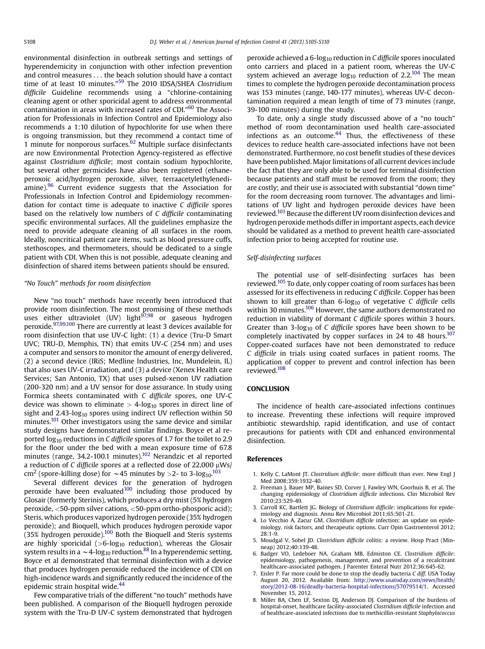<span id="page-3-0"></span>environmental disinfection in outbreak settings and settings of hyperendemicity in conjunction with other infection prevention and control measures . . . the beach solution should have a contact time of at least 10 minutes."<sup>[59](#page-4-0)</sup> The 2010 IDSA/SHEA Clostridium difficile Guideline recommends using a "chlorine-containing cleaning agent or other sporicidal agent to address environmental contamination in areas with increased rates of CDI." [60](#page-4-0) The Association for Professionals in Infection Control and Epidemiology also recommends a 1:10 dilution of hypochlorite for use when there is ongoing transmission, but they recommend a contact time of 1 minute for nonporous surfaces. $62$  Multiple surface disinfectants are now Environmental Protection Agency-registered as effective against Clostridium difficile; most contain sodium hypochlorite, but several other germicides have also been registered (ethaneperoxoic acid/hydrogen peroxide, silver, terraacetylethylenediamine).<sup>96</sup> Current evidence suggests that the Association for Professionals in Infection Control and Epidemiology recommendation for contact time is adequate to inactive C difficile spores based on the relatively low numbers of C difficile contaminating specific environmental surfaces. All the guidelines emphasize the need to provide adequate cleaning of all surfaces in the room. Ideally, noncritical patient care items, such as blood pressure cuffs, stethoscopes, and thermometers, should be dedicated to a single patient with CDI. When this is not possible, adequate cleaning and disinfection of shared items between patients should be ensured.

#### "No Touch" methods for room disinfection

New "no touch" methods have recently been introduced that provide room disinfection. The most promising of these methods uses either ultraviolet (UV) light<sup>97,98</sup> or gaseous hydrogen peroxide[.97,99,100](#page-5-0) There are currently at least 3 devices available for room disinfection that use UV-C light: (1) a device (Tru-D Smart UVC; TRU-D, Memphis, TN) that emits UV-C (254 nm) and uses a computer and sensors to monitor the amount of energy delivered, (2) a second device (IRiS; Medline Industries, Inc, Mundelein, IL) that also uses UV-C irradiation, and (3) a device (Xenex Health care Services; San Antonio, TX) that uses pulsed-xenon UV radiation (200-320 nm) and a UV sensor for dose assurance. In study using Formica sheets contaminated with C difficile spores, one UV-C device was shown to eliminate  $>$  4-log<sub>10</sub> spores in direct line of sight and  $2.43$ -log<sub>10</sub> spores using indirect UV reflection within 50 minutes.<sup>[101](#page-5-0)</sup> Other investigators using the same device and similar study designs have demonstrated similar findings. Boyce et al reported  $\log_{10}$  reductions in C difficile spores of 1.7 for the toilet to 2.9 for the floor under the bed with a mean exposure time of 67.8 minutes (range, 34.2-100.1 minutes).<sup>[102](#page-5-0)</sup> Nerandzic et al reported a reduction of C difficile spores at a reflected dose of  $22,000 \mu Ws$ cm<sup>2</sup> (spore-killing dose) for  $\sim$  45 minutes by >2- to 3-log<sub>10</sub>.<sup>[103](#page-5-0)</sup>

Several different devices for the generation of hydrogen peroxide have been evaluated<sup>100</sup> including those produced by Glosair (formerly Sterinis), which produces a dry mist (5% hydrogen peroxide, <50-ppm silver cations, <50-ppm ortho-phosporic acid); Steris, which produces vaporized hydrogen peroxide (35% hydrogen peroxide); and Bioquell, which produces hydrogen peroxide vapor  $(35\%$  hydrogen peroxide).<sup>100</sup> Both the Bioquell and Steris systems are highly sporicidal  $(>6$ -log<sub>10</sub> reduction), whereas the Glosair system results in a  $\sim$  4-log<sub>10</sub> reduction.<sup>88</sup> In a hyperendemic setting, Boyce et al demonstrated that terminal disinfection with a device that produces hydrogen peroxide reduced the incidence of CDI on high-incidence wards and significantly reduced the incidence of the epidemic strain hospital wide.<sup>44</sup>

Few comparative trials of the different "no touch" methods have been published. A comparison of the Bioquell hydrogen peroxide system with the Tru-D UV-C system demonstrated that hydrogen peroxide achieved a 6-log<sub>10</sub> reduction in C difficile spores inoculated onto carriers and placed in a patient room, whereas the UV-C system achieved an average  $log_{10}$  reduction of 2.2.<sup>[104](#page-5-0)</sup> The mean times to complete the hydrogen peroxide decontamination process was 153 minutes (range, 140-177 minutes), whereas UV-C decontamination required a mean length of time of 73 minutes (range, 39-100 minutes) during the study.

To date, only a single study discussed above of a "no touch" method of room decontamination used health care-associated infections as an outcome. $44$  Thus, the effectiveness of these devices to reduce health care-associated infections have not been demonstrated. Furthermore, no cost benefit studies of these devices have been published. Major limitations of all current devices include the fact that they are only able to be used for terminal disinfection because patients and staff must be removed from the room; they are costly; and their use is associated with substantial "down time" for the room decreasing room turnover. The advantages and limitations of UV light and hydrogen peroxide devices have been reviewed.<sup>[101](#page-5-0)</sup> Because the different UV room disinfection devices and hydrogen peroxide methods differ in important aspects, each device should be validated as a method to prevent health care-associated infection prior to being accepted for routine use.

## Self-disinfecting surfaces

The potential use of self-disinfecting surfaces has been reviewed.<sup>[105](#page-5-0)</sup> To date, only copper coating of room surfaces has been assessed for its effectiveness in reducing C difficile. Copper has been shown to kill greater than  $6$ -log<sub>10</sub> of vegetative C difficile cells within 30 minutes.<sup>[106](#page-5-0)</sup> However, the same authors demonstrated no reduction in viability of dormant C difficile spores within 3 hours. Greater than  $3$ -log<sub>10</sub> of C difficile spores have been shown to be completely inactivated by copper surfaces in 24 to 48 hours.<sup>107</sup> Copper-coated surfaces have not been demonstrated to reduce C difficile in trials using coated surfaces in patient rooms. The application of copper to prevent and control infection has been reviewed.<sup>[108](#page-5-0)</sup>

### **CONCLUSION**

The incidence of health care-associated infections continues to increase. Preventing these infections will require improved antibiotic stewardship, rapid identification, and use of contact precautions for patients with CDI and enhanced environmental disinfection.

### References

- 1. Kelly C, LaMont JT. Clostridium difficile: more difficult than ever. New Engl J Med 2008:359:1932-40
- 2. Freeman J, Bauer MP, Baines SD, Corver J, Fawley WN, Goorhuis B, et al. The changing epidemiology of Clostridium difficile infections. Clin Microbiol Rev 2010;23:529-49.
- 3. Carroll KC, Bartlett JG. Biology of Clostridium difficile: implications for epidemiology and diagnosis. Annu Rev Microbiol 2011;65:501-21.
- 4. Lo Vecchio A, Zacur GM. Clostridium difficile infection: an update on epidemiology, risk factors, and therapeutic options. Curr Opin Gastroenterol 2012; 28:1-9.
- 5. Moudgal V, Sobel JD. Clostridium difficile colitis: a review. Hosp Pract (Minneap) 2012;40:139-48.
- 6. Badger VO, Ledeboer NA, Graham MB, Edmiston CE. Clostridium difficile: epidemiology, pathogenesis, management, and prevention of a recalcitrant healthcare-associated pathogen. J Parenter Enteral Nutr 2012;36:645-62.
- 7. Eisler P. Far more could be done to stop the deadly bacteria C diff. USA Today August 20, 2012. Available from: [http://www.usatoday.com/news/health/](http://www.usatoday.com/news/health/story/2012-08-16/deadly-bacteria-hospital-infections/57079514/1) [story/2012-08-16/deadly-bacteria-hospital-infections/57079514/1](http://www.usatoday.com/news/health/story/2012-08-16/deadly-bacteria-hospital-infections/57079514/1). Accessed November 15, 2012.
- 8. Miller BA, Chen LF, Sexton DJ, Anderson DJ. Comparison of the burdens of hospital-onset, healthcare facility-associated Clostridium difficile infection and of healthcare-associated infections due to methicillin-resistant Staphylococcus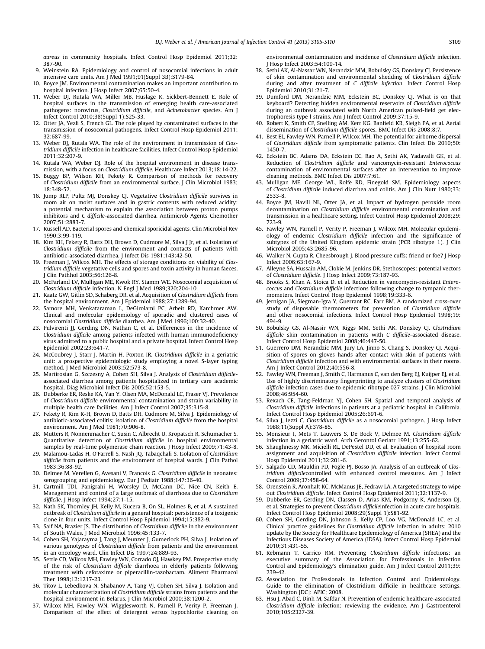<span id="page-4-0"></span>aureus in community hospitals. Infect Control Hosp Epidemiol 2011;32: 387-90.

- 9. Weinstein RA. Epidemiology and control of nosocomial infections in adult intensive care units. Am J Med 1991;91(Suppl 3B):S179-84.
- 10. Boyce JM. Environmental contamination makes an important contribution to hospital infection. J Hosp Infect 2007;65:50-4.
- 11. Weber DJ, Rutala WA, Miller MB, Huslage K, Sickbert-Bennett E. Role of hospital surfaces in the transmission of emerging health care-associated pathogens: norovirus, Clostridium difficile, and Acinetobacter species. Am J Infect Control 2010;38(Suppl 1):S25-33.
- 12. Otter JA, Yezli S, French GL. The role played by contaminated surfaces in the transmission of nosocomial pathogens. Infect Control Hosp Epidemiol 2011; 32:687-99.
- 13. Weber DJ, Rutala WA. The role of the environment in transmission of Clostridium difficile infection in healthcare facilities. Infect Control Hosp Epidemiol 2011;32:207-9.
- 14. Rutala WA, Weber DJ. Role of the hospital environment in disease transmission, with a focus on Clostridium difficile. Healthcare Infect 2013;18:14-22.
- 15. Buggy BP, Wilson KH, Fekety R. Comparison of methods for recovery of Clostridium difficile from an environmental surface. J Clin Microbiol 1983; 18:348-52.
- 16. Jump RLP, Pultz MJ, Donskey CJ. Vegetative Clostridium difficile survives in room air on moist surfaces and in gastric contents with reduced acidity: a potential mechanism to explain the association between proton pumps inhibitors and C difficile-associated diarrhea. Antimicrob Agents Chemother 2007;51:2883-7.
- 17. Russell AD. Bacterial spores and chemical sporicidal agents. Clin Microbiol Rev 1990;3:99-119.
- 18. Kim KH, Fekety R, Batts DH, Brown D, Cudmore M, Silva J Jr, et al. Isolation of Clostridium difficile from the environment and contacts of patients with antibiotic-associated diarrhea. J Infect Dis 1981;143:42-50.
- 19. Freeman J, Wilcox MH. The effects of storage conditions on viability of Clostridium difficile vegetative cells and spores and toxin activity in human faeces. J Clin Pathhol 2003;56:126-8.
- 20. McFarland LV, Mulligan ME, Kwok RY, Stamm WE. Nosocomial acquisition of Clostridium difficile infection. N Engl J Med 1989;320:204-10.
- 21. Kaatz GW, Gitlin SD, Schaberg DR, et al. Acquisition of Clostridium difficile from the hospital environment. Am J Epidemiol 1988;27:1289-94.
- 22. Samore MH, Venkataraman L, DeGirolami PC, Arbeit RD, Karchmer AW. Clinical and molecular epidemiology of sporadic and clustered cases of nosocomial Clostridium difficile diarrhea. Am J Med 1996;100:32-40.
- 23. Pulvirenti JJ, Gerding DN, Nathan C, et al. Differences in the incidence of Clostridium difficile among patients infected with human immunodeficiency virus admitted to a public hospital and a private hospital. Infect Control Hosp Epidemiol 2002;23:641-7.
- 24. McCoubrey J, Starr J, Martin H, Poxton IR. Clostridium difficile in a geriatric unit: a prospective epidemiologic study employing a novel S-layer typing method. J Med Microbiol 2003;52:573-8.
- 25. Martirosian G, Szczesny A, Cohen SH, Silva J. Analysis of Clostridium difficileassociated diarrhea among patients hospitalized in tertiary care academic hospital. Diag Microbiol Infect Dis 2005;52:153-5.
- 26. Dubberke ER, Reske KA, Yan Y, Olsen MA, McDonald LC, Fraser VJ. Prevalence of Clostridium difficile environmental contamination and strain variability in multiple health care facilities. Am J Infect Control 2007;35:315-8.
- 27. Fekety R, Kim K-H, Brown D, Batts DH, Cudmore M, Silva J. Epidemiology of antibiotic-associated colitis: isolation of Clostridium difficile from the hospital environment. Am J Med 1981;70:906-8.
- 28. Mutters R, Nonnenmacher C, Susin C, Albrecht U, Kropatsch R, Schumacher S. Quantitative detection of Clostridium difficile in hospital environmental samples by real-time polymerase chain reaction. J Hosp Infect 2009;71:43-8.
- 29. Malamou-Ladas H, O'Farrell S, Nash JQ, Tabaqchali S. Isolation of Clostridium difficile from patients and the environment of hospital wards. J Clin Pathol 1983;36:88-92.
- 30. Delmee M, Verellen G, Avesani V, Francois G. Clostridium difficile in neonates: serogrouping and epidemiology. Eur J Pediatr 1988;147:36-40.
- 31. Cartmill TDI, Panigrahi H, Worsley D, McCann DC, Nice CN, Keith E. Management and control of a large outbreak of diarrhoea due to Clostridium difficile. J Hosp Infect 1994;27:1-15.
- 32. Nath SK, Thornley JH, Kelly M, Kucera B, On SL, Holmes B, et al. A sustained outbreak of Clostridium difficile in a general hospital: persistence of a toxigenic clone in four units. Infect Control Hosp Epidemiol 1994;15:382-9.
- 33. Saif NA, Brazier JS. The distribution of Clostridium difficile in the environment of South Wales. J Med Microbiol 1996;45:133-7.
- 34. Cohen SH, Yajarayma J, Tang J, Meunzer J, Gumerlock PH, Silva J. Isolation of various genotypes of Clostridium difficile from patients and the environment in an oncology ward. Clin Infect Dis 1997;24:889-93.
- 35. Settle CD, Wilcox MH, Fawley WN, Corrado OJ, Hawkey PM. Prospective study of the risk of Clostridium difficile diarrhoea in elderly patients following treatment with cefotaxime or piperacillin-tazobactam. Aliment Pharmacol Ther 1998;12:1217-23.
- 36. Titov L, Lebedkova N, Shabanov A, Tang VJ, Cohen SH, Silva J. Isolation and molecular characterization of Clostridium difficile strains from patients and the hospital environment in Belarus. J Clin Microbiol 2000;38:1200-2.
- 37. Wilcox MH, Fawley WN, Wigglesworth N, Parnell P, Verity P, Freeman J. Comparison of the effect of detergent versus hypochlorite cleaning on

environmental contamination and incidence of Clostridium difficile infection. J Hosp Infect 2003;54:109-14.

- 38. Sethi AK, Al-Nassar WN, Nerandzic MM, Bobulsky GS, Donskey CJ. Persistence of skin contamination and environmental shedding of Clostridium difficile during and after treatment of C difficile infection. Infect Control Hosp Epidemiol 2010;31:21-7.
- 39. Dumford DM, Nerandzic MM, Eckstein BC, Donskey CJ. What is on that keyboard? Detecting hidden environmental reservoirs of Clostridium difficile during an outbreak associated with North American pulsed-field get electrophoresis type l strains. Am J Infect Control 2009;37:15-9.
- 40. Robert K, Smith CF, Snelling AM, Kerr KG, Banfield KR, Sleigh PA, et al. Aerial dissemination of Clostridium difficile spores. BMC Infect Dis 2008;8:7.
- 41. Best EL, Fawley WN, Parnell P, Wilcox MH. The potential for airborne dispersal of Clostridium difficile from symptomatic patients. Clin Infect Dis 2010;50: 1450-7.
- 42. Eckstein BC, Adams DA, Eckstein EC, Rao A, Sethi AK, Yadavalli GK, et al. Reduction of Clostridium difficile and vancomycin-resistant Enterococcus contamination of environmental surfaces after an intervention to improve cleaning methods. BMC Infect Dis 2007;7:61.
- 43. Mulligan ME, George WL, Rolfe RD, Finegold SM. Epidemiology aspects of Clostridium difficile induced diarrhea and colitis. Am J Clin Nutr 1980;33: 2533-8.
- 44. Boyce JM, Havill NL, Otter JA, et al. Impact of hydrogen peroxide room decontamination on Clostridium difficile environmental contamination and transmission in a healthcare setting. Infect Control Hosp Epidemiol 2008;29: 723-9.
- 45. Fawley WN, Parnell P, Verity P, Freeman J, Wilcox MH. Molecular epidemiology of endemic Clostridium difficile infection and the significance of subtypes of the United Kingdom epidemic strain (PCR ribotype 1). J Clin Microbiol 2005;43:2685-96.
- 46. Walker N, Gupta R, Cheesbrough J. Blood pressure cuffs: friend or foe? J Hosp Infect 2006;63:167-9.
- 47. Alleyne SA, Hussain AM, Clokie M, Jenkins DR. Stethoscopes: potential vectors of Clostridium difficile. J Hosp Infect 2009;73:187-93.
- 48. Brooks S, Khan A, Stoica D, et al. Reduction in vancomycin-resistant Enterococcus and Clostridium difficile infections following change to tympanic thermometers. Infect Control Hosp Epidemiol 1998;19:333-6.
- 49. Jernigan JA, Siegman-Igra Y, Guerrant RC, Farr BM. A randomized cross-over study of disposable thermometers for prevention of Clostridium difficile and other nosocomial infections. Infect Control Hosp Epidemiol 1998;19: 494-9.
- 50. Bobulsky GS, Al-Nassir WN, Riggs MM, Sethi AK, Donskey CJ. Clostridium difficile skin contamination in patients with C difficile-associated disease. Infect Control Hosp Epidemiol 2008;46:447-50.
- 51. Guerrero DM, Nerandzic MM, Jury LA, Jinno S, Chang S, Donskey CJ. Acquisition of spores on gloves hands after contact with skin of patients with Clostridium difficile infection and with environmental surfaces in their rooms. Am J Infect Control 2012;40:556-8.
- 52. Fawley WN, Freeman J, Smith C, Harmanus C, van den Berg EJ, Kuijper EJ, et al. Use of highly discriminatory fingerprinting to analyze clusters of Clostridium difficile infection cases due to epidemic ribotype 027 strains. J Clin Microbiol 2008;46:954-60.
- 53. Rexach CE, Tang-Feldman YJ, Cohen SH. Spatial and temporal analysis of Clostridium difficile infections in patients at a pediatric hospital in California. Infect Control Hosp Epidemiol 2005;26:691-6.
- 54. Silva J, Iezzi C. Clostridium difficile as a nosocomial pathogen. J Hosp Infect 1988;11(Suppl A):378-85.
- 55. Monsieur I, Mets T, Lauwers S, De Bock V, Delmee M. Clostridium difficile infection in a geriatric ward. Arch Gerontol Geriatr 1991;13:255-62.
- 56. Shaughnessy MK, Micielli RL, DePestel DD, et al. Evaluation of hospital room assignment and acquisition of Clostridium diffiicile infection. Infect Control Hosp Epidemiol 2011;32:201-6.
- 57. Salgado CD, Mauldin PD, Fogle PJ, Bosso JA. Analysis of an outbreak of Clostridium difficilecontrolled with enhanced control measures. Am J Infect Control 2009;37:458-64.
- 58. Orenstein R, Aronhalt KC, McManus JE, Fedraw LA. A targeted strategy to wipe out Clostridium difficile. Infect Control Hosp Epidemiol 2011;32:1137-9.
- 59. Dubberke ER, Gerding DN, Classen D, Arias KM, Podgorny K, Anderson DJ, et al. Strategies to prevent Clostridium difficileinfection in acute care hospitals. Infect Control Hosp Epidemiol 2008;29(Suppl 1):S81-92.
- 60. Cohen SH, Gerding DN, Johnson S, Kelly CP, Loo VG, McDonald LC, et al. Clinical practice guidelines for Clostridium difficile infection in adults: 2010 update by the Society for Healthcare Epidemiology of America (SHEA) and the Infectious Diseases Society of America (IDSA). Infect Control Hosp Epidemiol 2010;31:431-55.
- 61. Rebmann T, Carrico RM. Preventing Clostridium difficile infections: an executive summary of the Association for Professionals in Infection Control and Epidemiology's elimination guide. Am J Infect Control 2011;39: 239-42.
- 62. Association for Professionals in Infection Control and Epidemiology. Guide to the elimination of Clostridium difficile in healthcare settings. Washington [DC]: APIC; 2008.
- 63. Hsu J, Abad C, Dinh M, Safdar N. Prevention of endemic healthcare-associated Clostridium difficile infection: reviewing the evidence. Am J Gastroenterol 2010;105:2327-39.